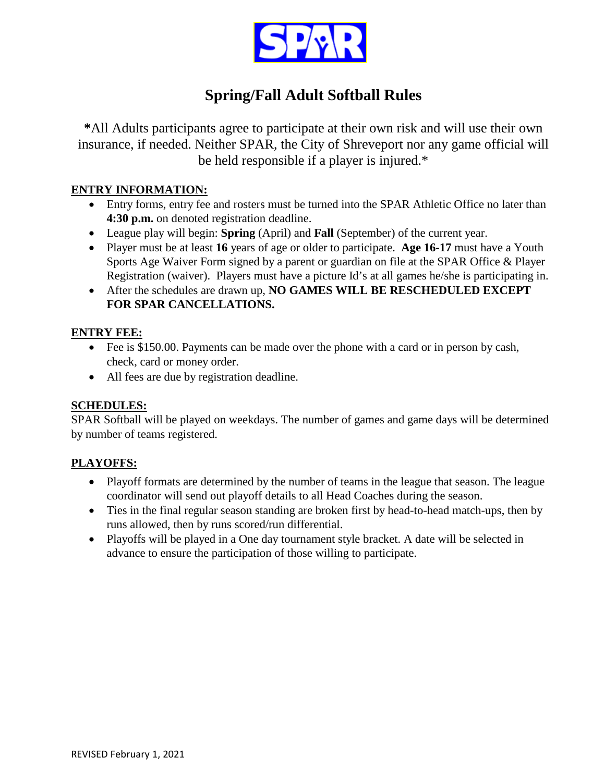

# **Spring/Fall Adult Softball Rules**

**\***All Adults participants agree to participate at their own risk and will use their own insurance, if needed. Neither SPAR, the City of Shreveport nor any game official will be held responsible if a player is injured.\*

### **ENTRY INFORMATION:**

- Entry forms, entry fee and rosters must be turned into the SPAR Athletic Office no later than **4:30 p.m.** on denoted registration deadline.
- League play will begin: **Spring** (April) and **Fall** (September) of the current year.
- Player must be at least **16** years of age or older to participate. **Age 16-17** must have a Youth Sports Age Waiver Form signed by a parent or guardian on file at the SPAR Office & Player Registration (waiver). Players must have a picture Id's at all games he/she is participating in.
- After the schedules are drawn up, **NO GAMES WILL BE RESCHEDULED EXCEPT FOR SPAR CANCELLATIONS.**

#### **ENTRY FEE:**

- Fee is \$150.00. Payments can be made over the phone with a card or in person by cash, check, card or money order.
- All fees are due by registration deadline.

### **SCHEDULES:**

SPAR Softball will be played on weekdays. The number of games and game days will be determined by number of teams registered.

### **PLAYOFFS:**

- Playoff formats are determined by the number of teams in the league that season. The league coordinator will send out playoff details to all Head Coaches during the season.
- Ties in the final regular season standing are broken first by head-to-head match-ups, then by runs allowed, then by runs scored/run differential.
- Playoffs will be played in a One day tournament style bracket. A date will be selected in advance to ensure the participation of those willing to participate.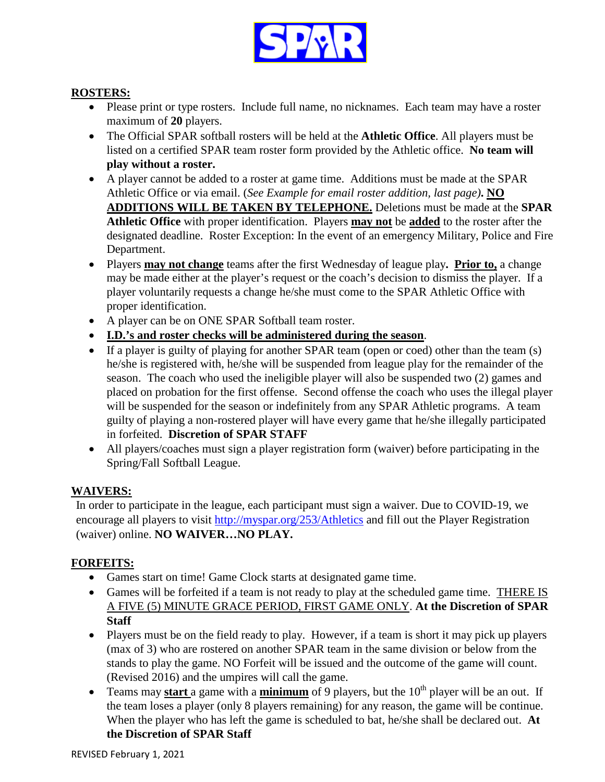

### **ROSTERS:**

- Please print or type rosters. Include full name, no nicknames. Each team may have a roster maximum of **20** players.
- The Official SPAR softball rosters will be held at the **Athletic Office**. All players must be listed on a certified SPAR team roster form provided by the Athletic office. **No team will play without a roster.**
- A player cannot be added to a roster at game time. Additions must be made at the SPAR Athletic Office or via email. (*See Example for email roster addition, last page)***. NO ADDITIONS WILL BE TAKEN BY TELEPHONE.** Deletions must be made at the **SPAR Athletic Office** with proper identification. Players **may not** be **added** to the roster after the designated deadline. Roster Exception: In the event of an emergency Military, Police and Fire Department.
- Players **may not change** teams after the first Wednesday of league play**. Prior to,** a change may be made either at the player's request or the coach's decision to dismiss the player. If a player voluntarily requests a change he/she must come to the SPAR Athletic Office with proper identification.
- A player can be on ONE SPAR Softball team roster.
- **I.D.'s and roster checks will be administered during the season**.
- If a player is guilty of playing for another SPAR team (open or coed) other than the team (s) he/she is registered with, he/she will be suspended from league play for the remainder of the season. The coach who used the ineligible player will also be suspended two (2) games and placed on probation for the first offense. Second offense the coach who uses the illegal player will be suspended for the season or indefinitely from any SPAR Athletic programs. A team guilty of playing a non-rostered player will have every game that he/she illegally participated in forfeited. **Discretion of SPAR STAFF**
- All players/coaches must sign a player registration form (waiver) before participating in the Spring/Fall Softball League.

### **WAIVERS:**

In order to participate in the league, each participant must sign a waiver. Due to COVID-19, we encourage all players to visit <http://myspar.org/253/Athletics> and fill out the Player Registration (waiver) online. **NO WAIVER…NO PLAY.**

### **FORFEITS:**

- Games start on time! Game Clock starts at designated game time.
- Games will be forfeited if a team is not ready to play at the scheduled game time. THERE IS A FIVE (5) MINUTE GRACE PERIOD, FIRST GAME ONLY. **At the Discretion of SPAR Staff**
- Players must be on the field ready to play. However, if a team is short it may pick up players (max of 3) who are rostered on another SPAR team in the same division or below from the stands to play the game. NO Forfeit will be issued and the outcome of the game will count. (Revised 2016) and the umpires will call the game.
- Teams may **start** a game with a **minimum** of 9 players, but the  $10<sup>th</sup>$  player will be an out. If the team loses a player (only 8 players remaining) for any reason, the game will be continue. When the player who has left the game is scheduled to bat, he/she shall be declared out. **At the Discretion of SPAR Staff**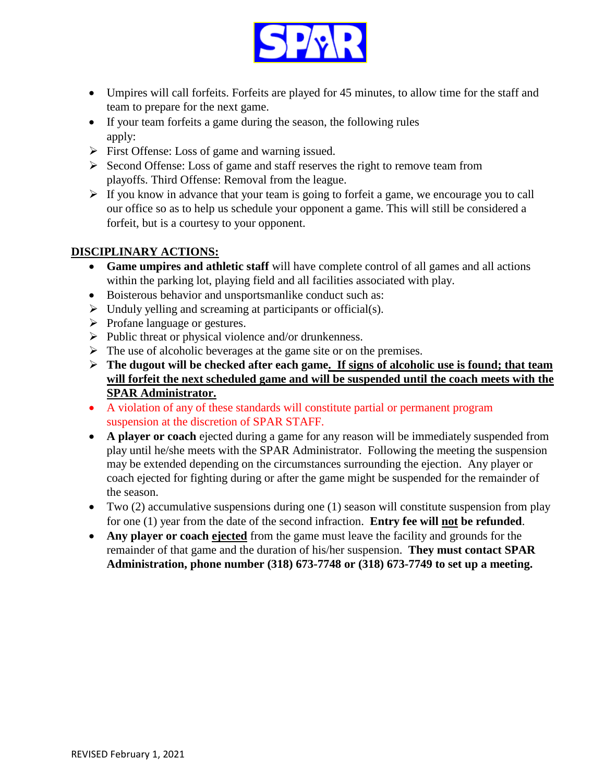

- Umpires will call forfeits. Forfeits are played for 45 minutes, to allow time for the staff and team to prepare for the next game.
- If your team forfeits a game during the season, the following rules apply:
- $\triangleright$  First Offense: Loss of game and warning issued.
- $\triangleright$  Second Offense: Loss of game and staff reserves the right to remove team from playoffs. Third Offense: Removal from the league.
- $\triangleright$  If you know in advance that your team is going to forfeit a game, we encourage you to call our office so as to help us schedule your opponent a game. This will still be considered a forfeit, but is a courtesy to your opponent.

### **DISCIPLINARY ACTIONS:**

- **Game umpires and athletic staff** will have complete control of all games and all actions within the parking lot, playing field and all facilities associated with play.
- Boisterous behavior and unsportsmanlike conduct such as:
- $\triangleright$  Unduly yelling and screaming at participants or official(s).
- $\triangleright$  Profane language or gestures.
- $\triangleright$  Public threat or physical violence and/or drunkenness.
- $\triangleright$  The use of alcoholic beverages at the game site or on the premises.
- **The dugout will be checked after each game. If signs of alcoholic use is found; that team will forfeit the next scheduled game and will be suspended until the coach meets with the SPAR Administrator.**
- A violation of any of these standards will constitute partial or permanent program suspension at the discretion of SPAR STAFF.
- **A player or coach** ejected during a game for any reason will be immediately suspended from play until he/she meets with the SPAR Administrator. Following the meeting the suspension may be extended depending on the circumstances surrounding the ejection. Any player or coach ejected for fighting during or after the game might be suspended for the remainder of the season.
- Two  $(2)$  accumulative suspensions during one  $(1)$  season will constitute suspension from play for one (1) year from the date of the second infraction. **Entry fee will not be refunded**.
- **Any player or coach ejected** from the game must leave the facility and grounds for the remainder of that game and the duration of his/her suspension. **They must contact SPAR Administration, phone number (318) 673-7748 or (318) 673-7749 to set up a meeting.**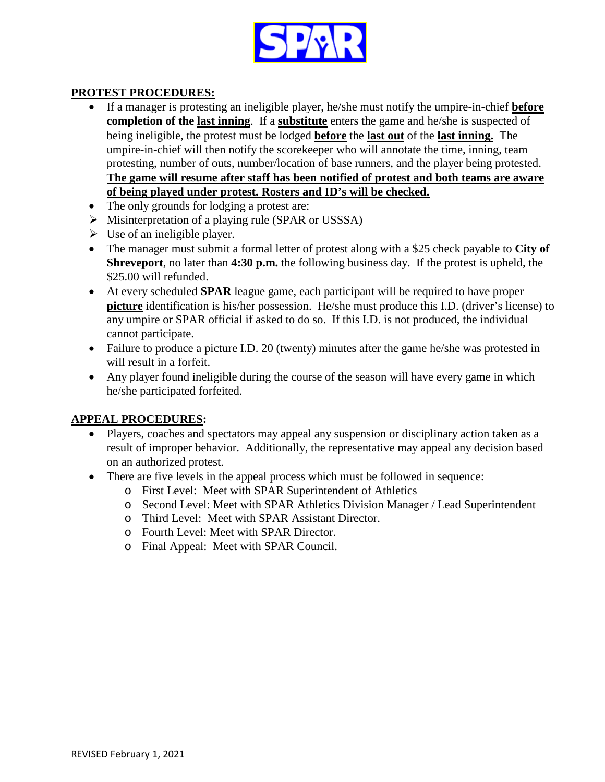

### **PROTEST PROCEDURES:**

- If a manager is protesting an ineligible player, he/she must notify the umpire-in-chief **before completion of the last inning**. If a **substitute** enters the game and he/she is suspected of being ineligible, the protest must be lodged **before** the **last out** of the **last inning.** The umpire-in-chief will then notify the scorekeeper who will annotate the time, inning, team protesting, number of outs, number/location of base runners, and the player being protested. **The game will resume after staff has been notified of protest and both teams are aware of being played under protest. Rosters and ID's will be checked.**
- The only grounds for lodging a protest are:
- Misinterpretation of a playing rule (SPAR or USSSA)
- $\triangleright$  Use of an ineligible player.
- The manager must submit a formal letter of protest along with a \$25 check payable to **City of Shreveport**, no later than **4:30 p.m.** the following business day. If the protest is upheld, the \$25.00 will refunded.
- At every scheduled **SPAR** league game, each participant will be required to have proper **picture** identification is his/her possession. He/she must produce this I.D. (driver's license) to any umpire or SPAR official if asked to do so. If this I.D. is not produced, the individual cannot participate.
- Failure to produce a picture I.D. 20 (twenty) minutes after the game he/she was protested in will result in a forfeit.
- Any player found ineligible during the course of the season will have every game in which he/she participated forfeited.

#### **APPEAL PROCEDURES:**

- Players, coaches and spectators may appeal any suspension or disciplinary action taken as a result of improper behavior. Additionally, the representative may appeal any decision based on an authorized protest.
- There are five levels in the appeal process which must be followed in sequence:
	- o First Level: Meet with SPAR Superintendent of Athletics
	- o Second Level: Meet with SPAR Athletics Division Manager / Lead Superintendent
	- o Third Level: Meet with SPAR Assistant Director.
	- o Fourth Level: Meet with SPAR Director.
	- o Final Appeal: Meet with SPAR Council.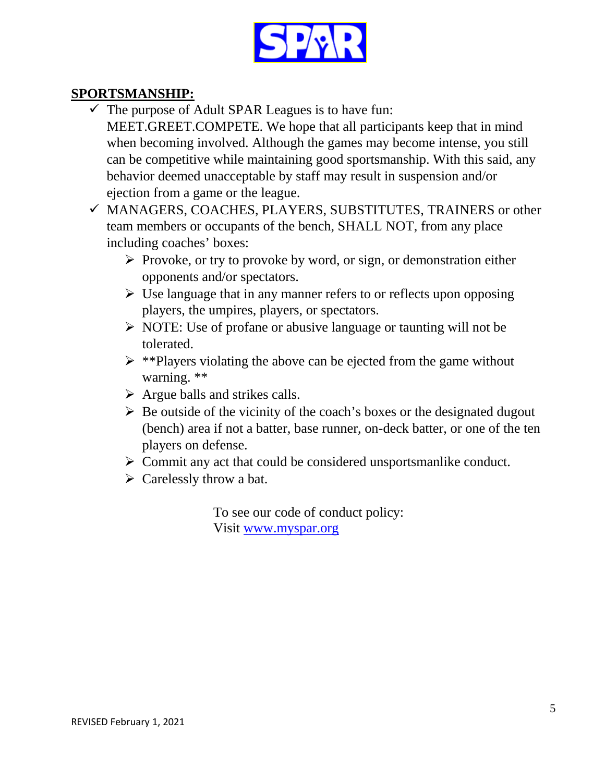

## **SPORTSMANSHIP:**

- $\checkmark$  The purpose of Adult SPAR Leagues is to have fun: MEET.GREET.COMPETE. We hope that all participants keep that in mind when becoming involved. Although the games may become intense, you still can be competitive while maintaining good sportsmanship. With this said, any behavior deemed unacceptable by staff may result in suspension and/or ejection from a game or the league.
- MANAGERS, COACHES, PLAYERS, SUBSTITUTES, TRAINERS or other team members or occupants of the bench, SHALL NOT, from any place including coaches' boxes:
	- $\triangleright$  Provoke, or try to provoke by word, or sign, or demonstration either opponents and/or spectators.
	- $\triangleright$  Use language that in any manner refers to or reflects upon opposing players, the umpires, players, or spectators.
	- $\triangleright$  NOTE: Use of profane or abusive language or taunting will not be tolerated.
	- $\triangleright$  \*\*Players violating the above can be ejected from the game without warning. \*\*
	- $\triangleright$  Argue balls and strikes calls.
	- $\triangleright$  Be outside of the vicinity of the coach's boxes or the designated dugout (bench) area if not a batter, base runner, on-deck batter, or one of the ten players on defense.
	- $\triangleright$  Commit any act that could be considered unsportsmanlike conduct.
	- $\triangleright$  Carelessly throw a bat.

To see our code of conduct policy: Visit [www.myspar.org](http://www.myspar.org/)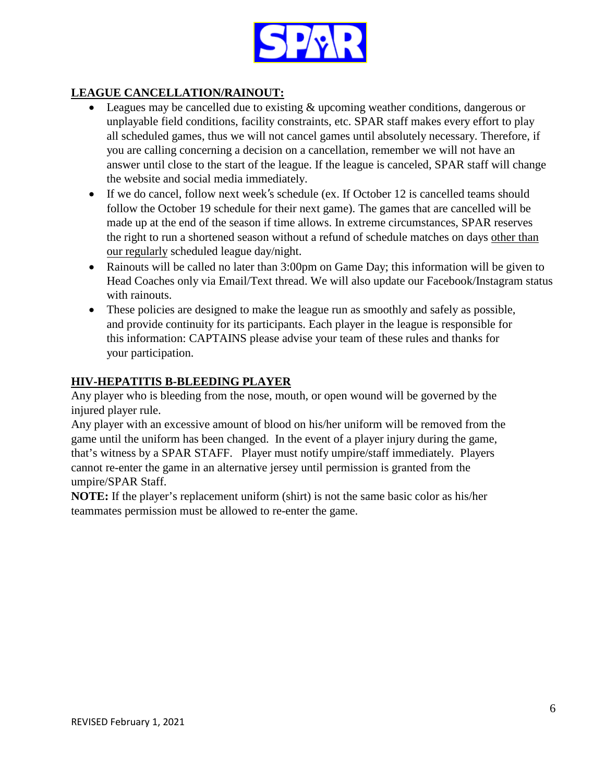

## **LEAGUE CANCELLATION/RAINOUT:**

- Leagues may be cancelled due to existing & upcoming weather conditions, dangerous or unplayable field conditions, facility constraints, etc. SPAR staff makes every effort to play all scheduled games, thus we will not cancel games until absolutely necessary. Therefore, if you are calling concerning a decision on a cancellation, remember we will not have an answer until close to the start of the league. If the league is canceled, SPAR staff will change the website and social media immediately.
- If we do cancel, follow next week's schedule (ex. If October 12 is cancelled teams should follow the October 19 schedule for their next game). The games that are cancelled will be made up at the end of the season if time allows. In extreme circumstances, SPAR reserves the right to run a shortened season without a refund of schedule matches on days other than our regularly scheduled league day/night.
- Rainouts will be called no later than 3:00pm on Game Day; this information will be given to Head Coaches only via Email/Text thread. We will also update our Facebook/Instagram status with rainouts.
- These policies are designed to make the league run as smoothly and safely as possible, and provide continuity for its participants. Each player in the league is responsible for this information: CAPTAINS please advise your team of these rules and thanks for your participation.

### **HIV-HEPATITIS B-BLEEDING PLAYER**

Any player who is bleeding from the nose, mouth, or open wound will be governed by the injured player rule.

Any player with an excessive amount of blood on his/her uniform will be removed from the game until the uniform has been changed. In the event of a player injury during the game, that's witness by a SPAR STAFF. Player must notify umpire/staff immediately. Players cannot re-enter the game in an alternative jersey until permission is granted from the umpire/SPAR Staff.

**NOTE:** If the player's replacement uniform (shirt) is not the same basic color as his/her teammates permission must be allowed to re-enter the game.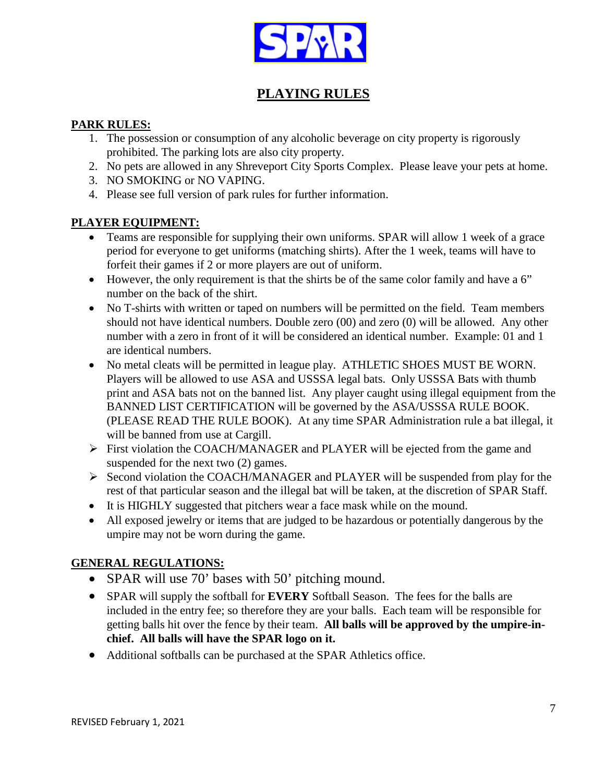

## **PLAYING RULES**

### **PARK RULES:**

- 1. The possession or consumption of any alcoholic beverage on city property is rigorously prohibited. The parking lots are also city property.
- 2. No pets are allowed in any Shreveport City Sports Complex. Please leave your pets at home.
- 3. NO SMOKING or NO VAPING.
- 4. Please see full version of park rules for further information.

## **PLAYER EQUIPMENT:**

- Teams are responsible for supplying their own uniforms. SPAR will allow 1 week of a grace period for everyone to get uniforms (matching shirts). After the 1 week, teams will have to forfeit their games if 2 or more players are out of uniform.
- However, the only requirement is that the shirts be of the same color family and have a 6" number on the back of the shirt.
- No T-shirts with written or taped on numbers will be permitted on the field. Team members should not have identical numbers. Double zero (00) and zero (0) will be allowed. Any other number with a zero in front of it will be considered an identical number. Example: 01 and 1 are identical numbers.
- No metal cleats will be permitted in league play. ATHLETIC SHOES MUST BE WORN. Players will be allowed to use ASA and USSSA legal bats. Only USSSA Bats with thumb print and ASA bats not on the banned list. Any player caught using illegal equipment from the BANNED LIST CERTIFICATION will be governed by the ASA/USSSA RULE BOOK. (PLEASE READ THE RULE BOOK). At any time SPAR Administration rule a bat illegal, it will be banned from use at Cargill.
- First violation the COACH/MANAGER and PLAYER will be ejected from the game and suspended for the next two (2) games.
- $\triangleright$  Second violation the COACH/MANAGER and PLAYER will be suspended from play for the rest of that particular season and the illegal bat will be taken, at the discretion of SPAR Staff.
- It is HIGHLY suggested that pitchers wear a face mask while on the mound.
- All exposed jewelry or items that are judged to be hazardous or potentially dangerous by the umpire may not be worn during the game.

## **GENERAL REGULATIONS:**

- SPAR will use 70' bases with 50' pitching mound.
- SPAR will supply the softball for **EVERY** Softball Season. The fees for the balls are included in the entry fee; so therefore they are your balls. Each team will be responsible for getting balls hit over the fence by their team. **All balls will be approved by the umpire-inchief. All balls will have the SPAR logo on it.**
- Additional softballs can be purchased at the SPAR Athletics office.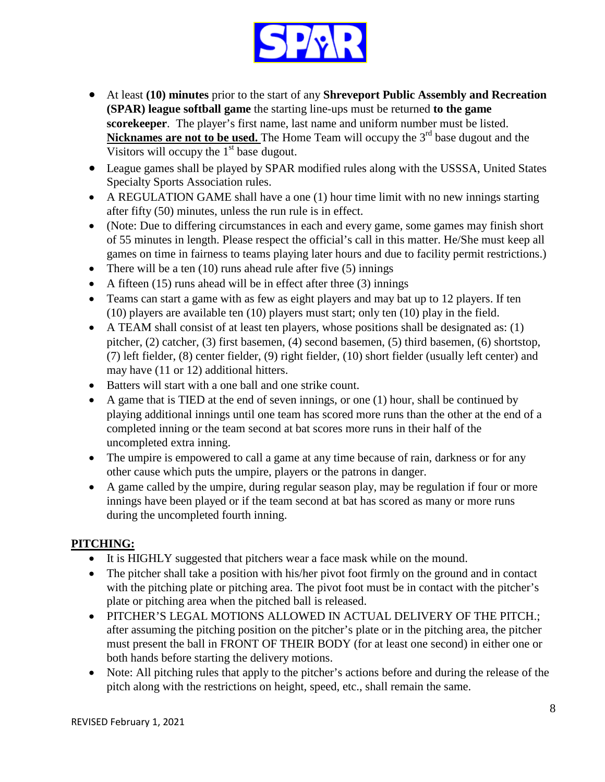

- At least **(10) minutes** prior to the start of any **Shreveport Public Assembly and Recreation (SPAR) league softball game** the starting line-ups must be returned **to the game scorekeeper**. The player's first name, last name and uniform number must be listed. **Nicknames are not to be used.** The Home Team will occupy the 3<sup>rd</sup> base dugout and the Visitors will occupy the  $1<sup>st</sup>$  base dugout.
- League games shall be played by SPAR modified rules along with the USSSA, United States Specialty Sports Association rules.
- A REGULATION GAME shall have a one (1) hour time limit with no new innings starting after fifty (50) minutes, unless the run rule is in effect.
- (Note: Due to differing circumstances in each and every game, some games may finish short of 55 minutes in length. Please respect the official's call in this matter. He/She must keep all games on time in fairness to teams playing later hours and due to facility permit restrictions.)
- There will be a ten  $(10)$  runs ahead rule after five  $(5)$  innings
- A fifteen  $(15)$  runs ahead will be in effect after three  $(3)$  innings
- Teams can start a game with as few as eight players and may bat up to 12 players. If ten (10) players are available ten (10) players must start; only ten (10) play in the field.
- A TEAM shall consist of at least ten players, whose positions shall be designated as: (1) pitcher, (2) catcher, (3) first basemen, (4) second basemen, (5) third basemen, (6) shortstop, (7) left fielder, (8) center fielder, (9) right fielder, (10) short fielder (usually left center) and may have (11 or 12) additional hitters.
- Batters will start with a one ball and one strike count.
- A game that is TIED at the end of seven innings, or one (1) hour, shall be continued by playing additional innings until one team has scored more runs than the other at the end of a completed inning or the team second at bat scores more runs in their half of the uncompleted extra inning.
- The umpire is empowered to call a game at any time because of rain, darkness or for any other cause which puts the umpire, players or the patrons in danger.
- A game called by the umpire, during regular season play, may be regulation if four or more innings have been played or if the team second at bat has scored as many or more runs during the uncompleted fourth inning.

### **PITCHING:**

- It is HIGHLY suggested that pitchers wear a face mask while on the mound.
- The pitcher shall take a position with his/her pivot foot firmly on the ground and in contact with the pitching plate or pitching area. The pivot foot must be in contact with the pitcher's plate or pitching area when the pitched ball is released.
- PITCHER'S LEGAL MOTIONS ALLOWED IN ACTUAL DELIVERY OF THE PITCH.; after assuming the pitching position on the pitcher's plate or in the pitching area, the pitcher must present the ball in FRONT OF THEIR BODY (for at least one second) in either one or both hands before starting the delivery motions.
- Note: All pitching rules that apply to the pitcher's actions before and during the release of the pitch along with the restrictions on height, speed, etc., shall remain the same.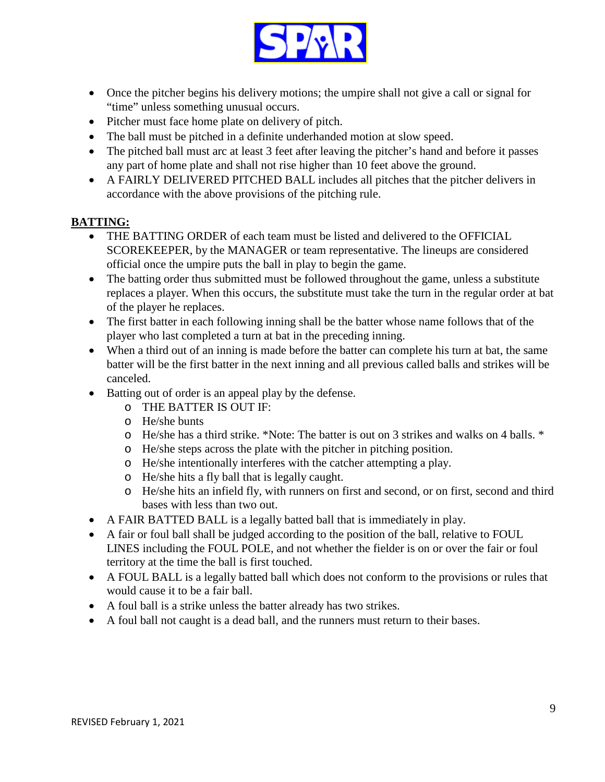

- Once the pitcher begins his delivery motions; the umpire shall not give a call or signal for "time" unless something unusual occurs.
- Pitcher must face home plate on delivery of pitch.
- The ball must be pitched in a definite underhanded motion at slow speed.
- The pitched ball must arc at least 3 feet after leaving the pitcher's hand and before it passes any part of home plate and shall not rise higher than 10 feet above the ground.
- A FAIRLY DELIVERED PITCHED BALL includes all pitches that the pitcher delivers in accordance with the above provisions of the pitching rule.

### **BATTING:**

- THE BATTING ORDER of each team must be listed and delivered to the OFFICIAL SCOREKEEPER, by the MANAGER or team representative. The lineups are considered official once the umpire puts the ball in play to begin the game.
- The batting order thus submitted must be followed throughout the game, unless a substitute replaces a player. When this occurs, the substitute must take the turn in the regular order at bat of the player he replaces.
- The first batter in each following inning shall be the batter whose name follows that of the player who last completed a turn at bat in the preceding inning.
- When a third out of an inning is made before the batter can complete his turn at bat, the same batter will be the first batter in the next inning and all previous called balls and strikes will be canceled.
- Batting out of order is an appeal play by the defense.
	- o THE BATTER IS OUT IF:
	- o He/she bunts
	- o He/she has a third strike. \*Note: The batter is out on 3 strikes and walks on 4 balls. \*
	- o He/she steps across the plate with the pitcher in pitching position.
	- o He/she intentionally interferes with the catcher attempting a play.
	- o He/she hits a fly ball that is legally caught.
	- o He/she hits an infield fly, with runners on first and second, or on first, second and third bases with less than two out.
- A FAIR BATTED BALL is a legally batted ball that is immediately in play.
- A fair or foul ball shall be judged according to the position of the ball, relative to FOUL LINES including the FOUL POLE, and not whether the fielder is on or over the fair or foul territory at the time the ball is first touched.
- A FOUL BALL is a legally batted ball which does not conform to the provisions or rules that would cause it to be a fair ball.
- A foul ball is a strike unless the batter already has two strikes.
- A foul ball not caught is a dead ball, and the runners must return to their bases.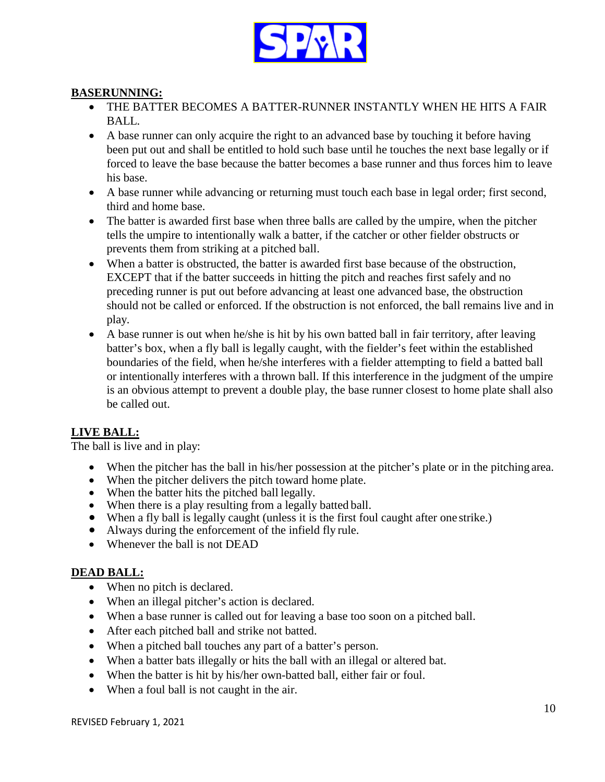

### **BASERUNNING:**

- THE BATTER BECOMES A BATTER-RUNNER INSTANTLY WHEN HE HITS A FAIR BALL.
- A base runner can only acquire the right to an advanced base by touching it before having been put out and shall be entitled to hold such base until he touches the next base legally or if forced to leave the base because the batter becomes a base runner and thus forces him to leave his base.
- A base runner while advancing or returning must touch each base in legal order; first second, third and home base.
- The batter is awarded first base when three balls are called by the umpire, when the pitcher tells the umpire to intentionally walk a batter, if the catcher or other fielder obstructs or prevents them from striking at a pitched ball.
- When a batter is obstructed, the batter is awarded first base because of the obstruction, EXCEPT that if the batter succeeds in hitting the pitch and reaches first safely and no preceding runner is put out before advancing at least one advanced base, the obstruction should not be called or enforced. If the obstruction is not enforced, the ball remains live and in play.
- A base runner is out when he/she is hit by his own batted ball in fair territory, after leaving batter's box, when a fly ball is legally caught, with the fielder's feet within the established boundaries of the field, when he/she interferes with a fielder attempting to field a batted ball or intentionally interferes with a thrown ball. If this interference in the judgment of the umpire is an obvious attempt to prevent a double play, the base runner closest to home plate shall also be called out.

## **LIVE BALL:**

The ball is live and in play:

- When the pitcher has the ball in his/her possession at the pitcher's plate or in the pitching area.
- When the pitcher delivers the pitch toward home plate.
- When the batter hits the pitched ball legally.
- When there is a play resulting from a legally batted ball.
- When a fly ball is legally caught (unless it is the first foul caught after one strike.)
- Always during the enforcement of the infield fly rule.
- Whenever the ball is not DEAD

### **DEAD BALL:**

- When no pitch is declared.
- When an illegal pitcher's action is declared.
- When a base runner is called out for leaving a base too soon on a pitched ball.
- After each pitched ball and strike not batted.
- When a pitched ball touches any part of a batter's person.
- When a batter bats illegally or hits the ball with an illegal or altered bat.
- When the batter is hit by his/her own-batted ball, either fair or foul.
- When a foul ball is not caught in the air.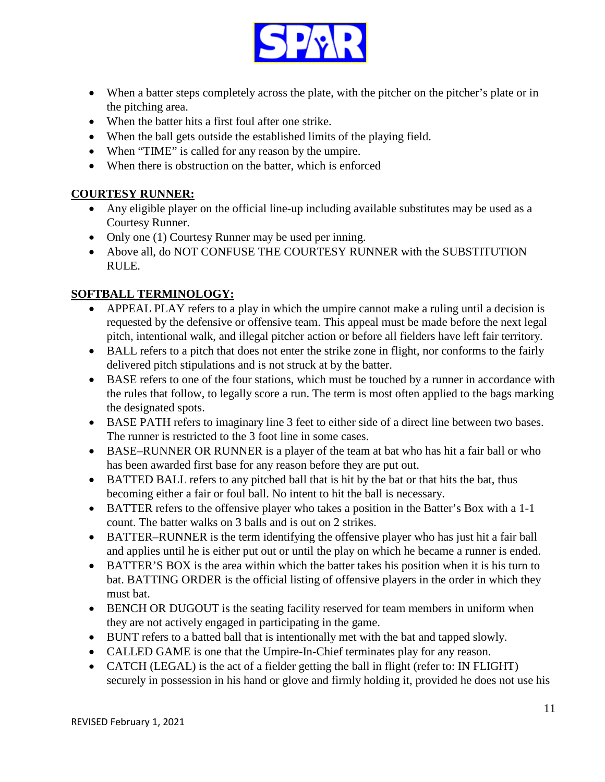

- When a batter steps completely across the plate, with the pitcher on the pitcher's plate or in the pitching area.
- When the batter hits a first foul after one strike.
- When the ball gets outside the established limits of the playing field.
- When "TIME" is called for any reason by the umpire.
- When there is obstruction on the batter, which is enforced

### **COURTESY RUNNER:**

- Any eligible player on the official line-up including available substitutes may be used as a Courtesy Runner.
- Only one (1) Courtesy Runner may be used per inning.
- Above all, do NOT CONFUSE THE COURTESY RUNNER with the SUBSTITUTION RULE.

## **SOFTBALL TERMINOLOGY:**

- APPEAL PLAY refers to a play in which the umpire cannot make a ruling until a decision is requested by the defensive or offensive team. This appeal must be made before the next legal pitch, intentional walk, and illegal pitcher action or before all fielders have left fair territory.
- BALL refers to a pitch that does not enter the strike zone in flight, nor conforms to the fairly delivered pitch stipulations and is not struck at by the batter.
- BASE refers to one of the four stations, which must be touched by a runner in accordance with the rules that follow, to legally score a run. The term is most often applied to the bags marking the designated spots.
- BASE PATH refers to imaginary line 3 feet to either side of a direct line between two bases. The runner is restricted to the 3 foot line in some cases.
- BASE–RUNNER OR RUNNER is a player of the team at bat who has hit a fair ball or who has been awarded first base for any reason before they are put out.
- BATTED BALL refers to any pitched ball that is hit by the bat or that hits the bat, thus becoming either a fair or foul ball. No intent to hit the ball is necessary.
- BATTER refers to the offensive player who takes a position in the Batter's Box with a 1-1 count. The batter walks on 3 balls and is out on 2 strikes.
- BATTER–RUNNER is the term identifying the offensive player who has just hit a fair ball and applies until he is either put out or until the play on which he became a runner is ended.
- BATTER'S BOX is the area within which the batter takes his position when it is his turn to bat. BATTING ORDER is the official listing of offensive players in the order in which they must bat.
- BENCH OR DUGOUT is the seating facility reserved for team members in uniform when they are not actively engaged in participating in the game.
- BUNT refers to a batted ball that is intentionally met with the bat and tapped slowly.
- CALLED GAME is one that the Umpire-In-Chief terminates play for any reason.
- CATCH (LEGAL) is the act of a fielder getting the ball in flight (refer to: IN FLIGHT) securely in possession in his hand or glove and firmly holding it, provided he does not use his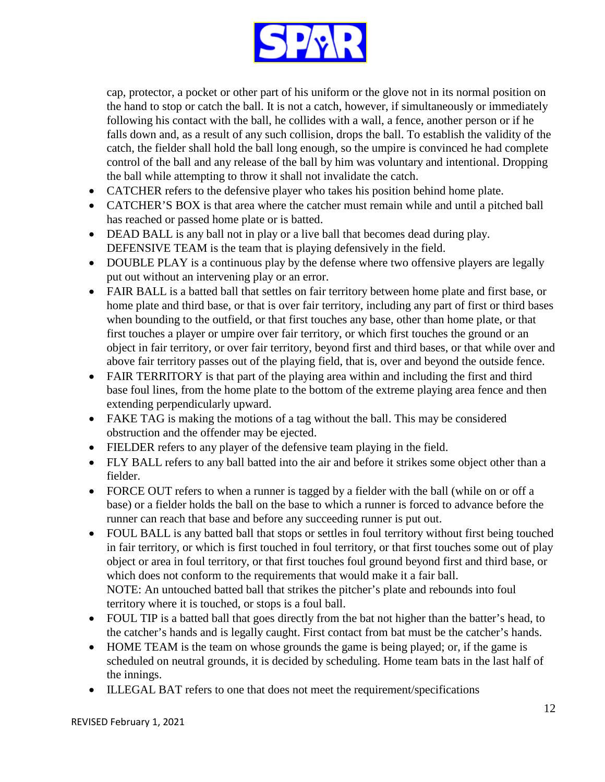

cap, protector, a pocket or other part of his uniform or the glove not in its normal position on the hand to stop or catch the ball. It is not a catch, however, if simultaneously or immediately following his contact with the ball, he collides with a wall, a fence, another person or if he falls down and, as a result of any such collision, drops the ball. To establish the validity of the catch, the fielder shall hold the ball long enough, so the umpire is convinced he had complete control of the ball and any release of the ball by him was voluntary and intentional. Dropping the ball while attempting to throw it shall not invalidate the catch.

- CATCHER refers to the defensive player who takes his position behind home plate.
- CATCHER'S BOX is that area where the catcher must remain while and until a pitched ball has reached or passed home plate or is batted.
- DEAD BALL is any ball not in play or a live ball that becomes dead during play. DEFENSIVE TEAM is the team that is playing defensively in the field.
- DOUBLE PLAY is a continuous play by the defense where two offensive players are legally put out without an intervening play or an error.
- FAIR BALL is a batted ball that settles on fair territory between home plate and first base, or home plate and third base, or that is over fair territory, including any part of first or third bases when bounding to the outfield, or that first touches any base, other than home plate, or that first touches a player or umpire over fair territory, or which first touches the ground or an object in fair territory, or over fair territory, beyond first and third bases, or that while over and above fair territory passes out of the playing field, that is, over and beyond the outside fence.
- FAIR TERRITORY is that part of the playing area within and including the first and third base foul lines, from the home plate to the bottom of the extreme playing area fence and then extending perpendicularly upward.
- FAKE TAG is making the motions of a tag without the ball. This may be considered obstruction and the offender may be ejected.
- FIELDER refers to any player of the defensive team playing in the field.
- FLY BALL refers to any ball batted into the air and before it strikes some object other than a fielder.
- FORCE OUT refers to when a runner is tagged by a fielder with the ball (while on or off a base) or a fielder holds the ball on the base to which a runner is forced to advance before the runner can reach that base and before any succeeding runner is put out.
- FOUL BALL is any batted ball that stops or settles in foul territory without first being touched in fair territory, or which is first touched in foul territory, or that first touches some out of play object or area in foul territory, or that first touches foul ground beyond first and third base, or which does not conform to the requirements that would make it a fair ball. NOTE: An untouched batted ball that strikes the pitcher's plate and rebounds into foul territory where it is touched, or stops is a foul ball.
- FOUL TIP is a batted ball that goes directly from the bat not higher than the batter's head, to the catcher's hands and is legally caught. First contact from bat must be the catcher's hands.
- HOME TEAM is the team on whose grounds the game is being played; or, if the game is scheduled on neutral grounds, it is decided by scheduling. Home team bats in the last half of the innings.
- ILLEGAL BAT refers to one that does not meet the requirement/specifications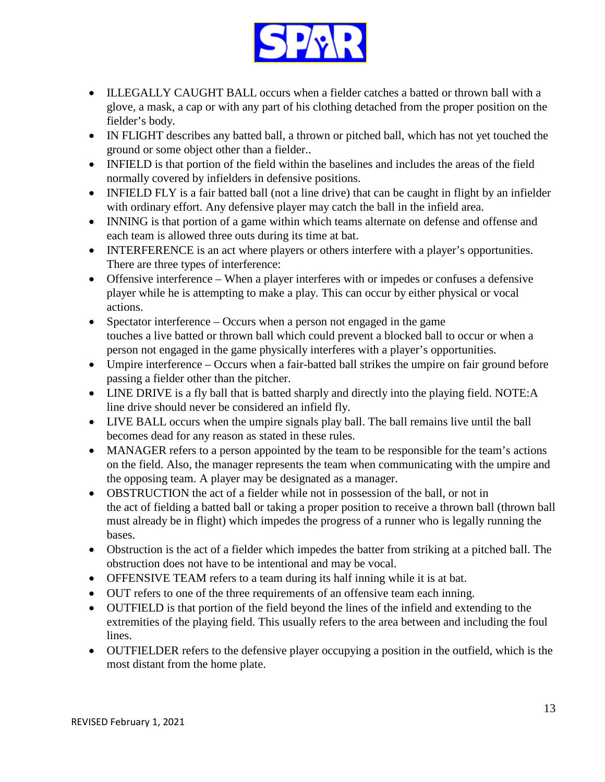

- ILLEGALLY CAUGHT BALL occurs when a fielder catches a batted or thrown ball with a glove, a mask, a cap or with any part of his clothing detached from the proper position on the fielder's body.
- IN FLIGHT describes any batted ball, a thrown or pitched ball, which has not yet touched the ground or some object other than a fielder..
- INFIELD is that portion of the field within the baselines and includes the areas of the field normally covered by infielders in defensive positions.
- INFIELD FLY is a fair batted ball (not a line drive) that can be caught in flight by an infielder with ordinary effort. Any defensive player may catch the ball in the infield area.
- INNING is that portion of a game within which teams alternate on defense and offense and each team is allowed three outs during its time at bat.
- INTERFERENCE is an act where players or others interfere with a player's opportunities. There are three types of interference:
- Offensive interference When a player interferes with or impedes or confuses a defensive player while he is attempting to make a play. This can occur by either physical or vocal actions.
- Spectator interference Occurs when a person not engaged in the game touches a live batted or thrown ball which could prevent a blocked ball to occur or when a person not engaged in the game physically interferes with a player's opportunities.
- Umpire interference Occurs when a fair-batted ball strikes the umpire on fair ground before passing a fielder other than the pitcher.
- LINE DRIVE is a fly ball that is batted sharply and directly into the playing field. NOTE:A line drive should never be considered an infield fly.
- LIVE BALL occurs when the umpire signals play ball. The ball remains live until the ball becomes dead for any reason as stated in these rules.
- MANAGER refers to a person appointed by the team to be responsible for the team's actions on the field. Also, the manager represents the team when communicating with the umpire and the opposing team. A player may be designated as a manager.
- OBSTRUCTION the act of a fielder while not in possession of the ball, or not in the act of fielding a batted ball or taking a proper position to receive a thrown ball (thrown ball must already be in flight) which impedes the progress of a runner who is legally running the bases.
- Obstruction is the act of a fielder which impedes the batter from striking at a pitched ball. The obstruction does not have to be intentional and may be vocal.
- OFFENSIVE TEAM refers to a team during its half inning while it is at bat.
- OUT refers to one of the three requirements of an offensive team each inning.
- OUTFIELD is that portion of the field beyond the lines of the infield and extending to the extremities of the playing field. This usually refers to the area between and including the foul lines.
- OUTFIELDER refers to the defensive player occupying a position in the outfield, which is the most distant from the home plate.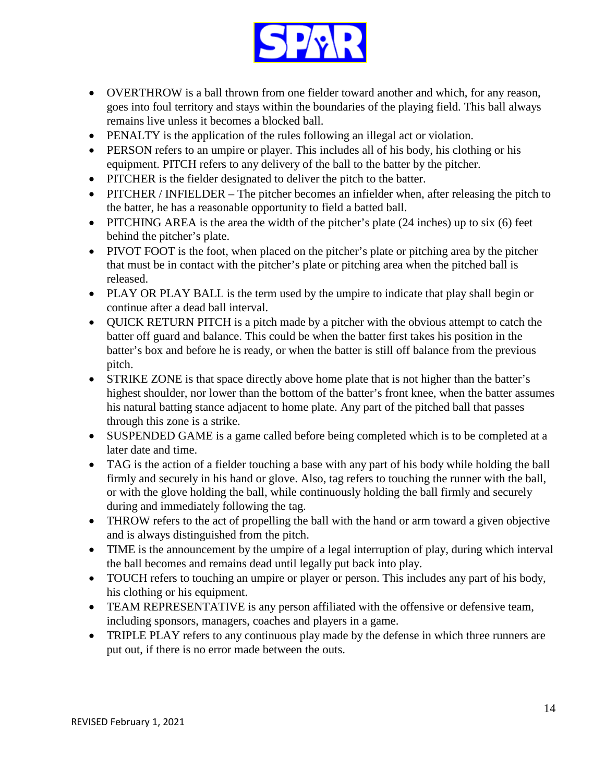

- OVERTHROW is a ball thrown from one fielder toward another and which, for any reason, goes into foul territory and stays within the boundaries of the playing field. This ball always remains live unless it becomes a blocked ball.
- PENALTY is the application of the rules following an illegal act or violation.
- PERSON refers to an umpire or player. This includes all of his body, his clothing or his equipment. PITCH refers to any delivery of the ball to the batter by the pitcher.
- PITCHER is the fielder designated to deliver the pitch to the batter.
- PITCHER / INFIELDER The pitcher becomes an infielder when, after releasing the pitch to the batter, he has a reasonable opportunity to field a batted ball.
- PITCHING AREA is the area the width of the pitcher's plate (24 inches) up to six (6) feet behind the pitcher's plate.
- PIVOT FOOT is the foot, when placed on the pitcher's plate or pitching area by the pitcher that must be in contact with the pitcher's plate or pitching area when the pitched ball is released.
- PLAY OR PLAY BALL is the term used by the umpire to indicate that play shall begin or continue after a dead ball interval.
- QUICK RETURN PITCH is a pitch made by a pitcher with the obvious attempt to catch the batter off guard and balance. This could be when the batter first takes his position in the batter's box and before he is ready, or when the batter is still off balance from the previous pitch.
- STRIKE ZONE is that space directly above home plate that is not higher than the batter's highest shoulder, nor lower than the bottom of the batter's front knee, when the batter assumes his natural batting stance adjacent to home plate. Any part of the pitched ball that passes through this zone is a strike.
- SUSPENDED GAME is a game called before being completed which is to be completed at a later date and time.
- TAG is the action of a fielder touching a base with any part of his body while holding the ball firmly and securely in his hand or glove. Also, tag refers to touching the runner with the ball, or with the glove holding the ball, while continuously holding the ball firmly and securely during and immediately following the tag.
- THROW refers to the act of propelling the ball with the hand or arm toward a given objective and is always distinguished from the pitch.
- TIME is the announcement by the umpire of a legal interruption of play, during which interval the ball becomes and remains dead until legally put back into play.
- TOUCH refers to touching an umpire or player or person. This includes any part of his body, his clothing or his equipment.
- TEAM REPRESENTATIVE is any person affiliated with the offensive or defensive team, including sponsors, managers, coaches and players in a game.
- TRIPLE PLAY refers to any continuous play made by the defense in which three runners are put out, if there is no error made between the outs.